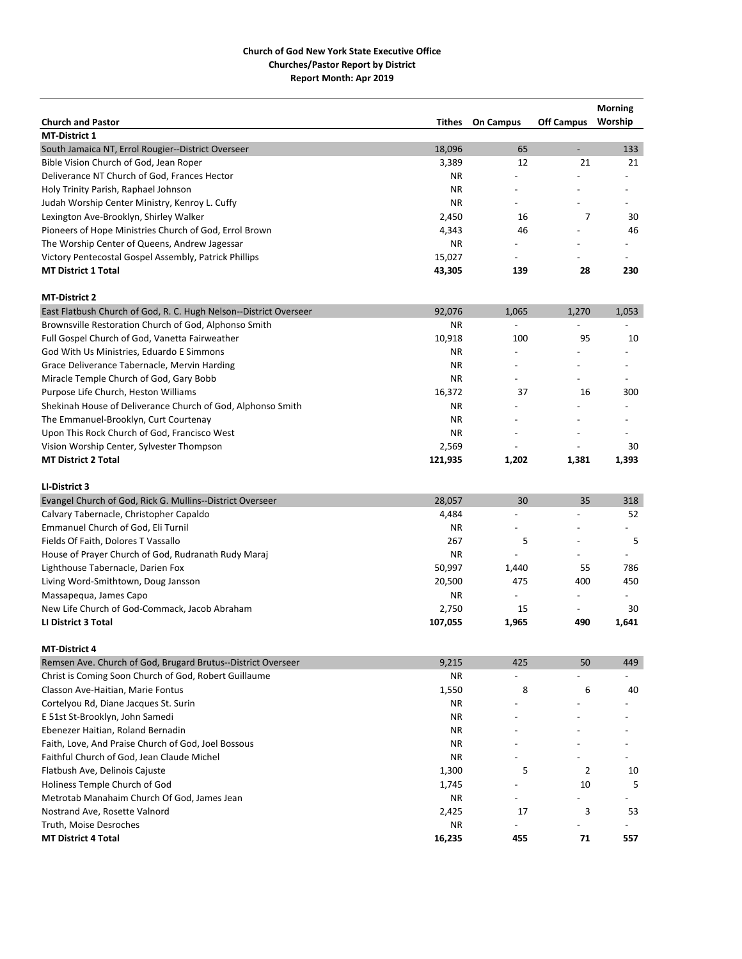|                                                                   |           |                          |                          | <b>Morning</b>           |
|-------------------------------------------------------------------|-----------|--------------------------|--------------------------|--------------------------|
| <b>Church and Pastor</b>                                          | Tithes    | <b>On Campus</b>         | <b>Off Campus</b>        | Worship                  |
| <b>MT-District 1</b>                                              |           |                          |                          |                          |
| South Jamaica NT, Errol Rougier--District Overseer                | 18,096    | 65                       | $\overline{\phantom{a}}$ | 133                      |
| Bible Vision Church of God, Jean Roper                            | 3,389     | 12                       | 21                       | 21                       |
| Deliverance NT Church of God, Frances Hector                      | ΝR        |                          |                          |                          |
| Holy Trinity Parish, Raphael Johnson                              | ΝR        |                          |                          |                          |
| Judah Worship Center Ministry, Kenroy L. Cuffy                    | <b>NR</b> |                          |                          |                          |
| Lexington Ave-Brooklyn, Shirley Walker                            | 2,450     | 16                       | 7                        | 30                       |
| Pioneers of Hope Ministries Church of God, Errol Brown            | 4,343     | 46                       |                          | 46                       |
| The Worship Center of Queens, Andrew Jagessar                     | <b>NR</b> |                          |                          |                          |
| Victory Pentecostal Gospel Assembly, Patrick Phillips             | 15,027    | $\overline{\phantom{a}}$ |                          |                          |
| <b>MT District 1 Total</b>                                        | 43,305    | 139                      | 28                       | 230                      |
| <b>MT-District 2</b>                                              |           |                          |                          |                          |
| East Flatbush Church of God, R. C. Hugh Nelson--District Overseer | 92,076    | 1,065                    | 1,270                    | 1,053                    |
| Brownsville Restoration Church of God, Alphonso Smith             | <b>NR</b> |                          |                          |                          |
| Full Gospel Church of God, Vanetta Fairweather                    | 10,918    | 100                      | 95                       | 10                       |
| God With Us Ministries, Eduardo E Simmons                         | <b>NR</b> | $\overline{a}$           |                          | $\overline{\phantom{a}}$ |
| Grace Deliverance Tabernacle, Mervin Harding                      | <b>NR</b> | $\overline{a}$           |                          |                          |
| Miracle Temple Church of God, Gary Bobb                           | <b>NR</b> | $\overline{a}$           |                          |                          |
| Purpose Life Church, Heston Williams                              | 16,372    | 37                       | 16                       | 300                      |
| Shekinah House of Deliverance Church of God, Alphonso Smith       | ΝR        |                          |                          |                          |
| The Emmanuel-Brooklyn, Curt Courtenay                             | <b>NR</b> |                          |                          |                          |
| Upon This Rock Church of God, Francisco West                      | ΝR        | $\overline{a}$           |                          |                          |
| Vision Worship Center, Sylvester Thompson                         | 2,569     |                          |                          | 30                       |
| <b>MT District 2 Total</b>                                        | 121,935   | 1,202                    | 1,381                    | 1,393                    |
|                                                                   |           |                          |                          |                          |
| LI-District 3                                                     |           |                          |                          |                          |
| Evangel Church of God, Rick G. Mullins--District Overseer         | 28,057    | 30                       | 35                       | 318                      |
| Calvary Tabernacle, Christopher Capaldo                           | 4,484     |                          |                          | 52                       |
| Emmanuel Church of God, Eli Turnil                                | <b>NR</b> |                          |                          |                          |
| Fields Of Faith, Dolores T Vassallo                               | 267       | 5                        |                          | 5                        |
| House of Prayer Church of God, Rudranath Rudy Maraj               | <b>NR</b> |                          | $\overline{a}$           | $\overline{\phantom{a}}$ |
| Lighthouse Tabernacle, Darien Fox                                 | 50,997    | 1,440                    | 55                       | 786                      |
| Living Word-Smithtown, Doug Jansson                               | 20,500    | 475                      | 400                      | 450                      |
| Massapequa, James Capo                                            | <b>NR</b> | $\overline{a}$           | $\overline{\phantom{0}}$ | $\overline{\phantom{a}}$ |
| New Life Church of God-Commack, Jacob Abraham                     | 2,750     | 15                       |                          | 30                       |
| <b>LI District 3 Total</b>                                        | 107,055   | 1,965                    | 490                      | 1,641                    |
| <b>MT-District 4</b>                                              |           |                          |                          |                          |
| Remsen Ave. Church of God, Brugard Brutus--District Overseer      | 9,215     | 425                      | 50                       | 449                      |
| Christ is Coming Soon Church of God, Robert Guillaume             | ΝR        |                          |                          |                          |
| Classon Ave-Haitian, Marie Fontus                                 | 1,550     | 8                        | 6                        | 40                       |
| Cortelyou Rd, Diane Jacques St. Surin                             | ΝR        |                          |                          |                          |
| E 51st St-Brooklyn, John Samedi                                   | ΝR        |                          |                          |                          |
| Ebenezer Haitian, Roland Bernadin                                 | ΝR        |                          |                          |                          |
| Faith, Love, And Praise Church of God, Joel Bossous               | ΝR        |                          |                          |                          |
| Faithful Church of God, Jean Claude Michel                        | ΝR        |                          |                          |                          |
| Flatbush Ave, Delinois Cajuste                                    | 1,300     | 5                        | 2                        | 10                       |
| Holiness Temple Church of God                                     | 1,745     |                          | 10                       | 5                        |
| Metrotab Manahaim Church Of God, James Jean                       | ΝR        |                          |                          |                          |
| Nostrand Ave, Rosette Valnord                                     | 2,425     | 17                       | 3                        | 53                       |
| Truth, Moise Desroches                                            | ΝR        | $\overline{a}$           |                          |                          |
| <b>MT District 4 Total</b>                                        | 16,235    | 455                      | 71                       | 557                      |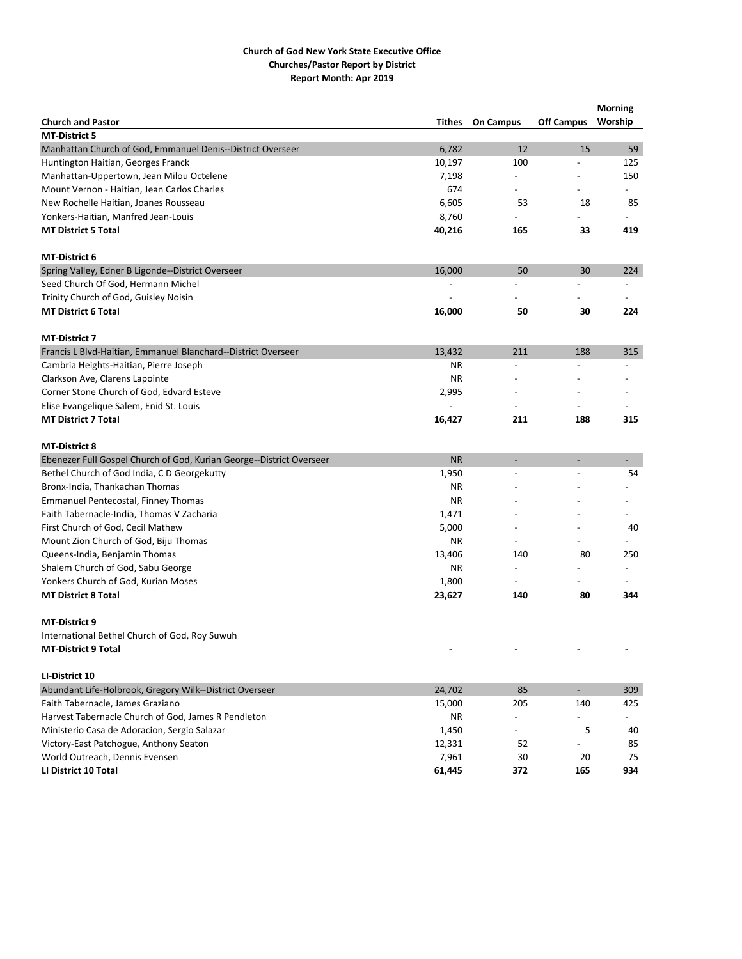|                                                                      |                          |                          |                          | Morning                  |
|----------------------------------------------------------------------|--------------------------|--------------------------|--------------------------|--------------------------|
| <b>Church and Pastor</b>                                             | Tithes                   | <b>On Campus</b>         | <b>Off Campus</b>        | Worship                  |
| <b>MT-District 5</b>                                                 |                          |                          |                          |                          |
| Manhattan Church of God, Emmanuel Denis--District Overseer           | 6,782                    | 12                       | 15                       | 59                       |
| Huntington Haitian, Georges Franck                                   | 10,197                   | 100                      |                          | 125                      |
| Manhattan-Uppertown, Jean Milou Octelene                             | 7,198                    | $\overline{a}$           |                          | 150                      |
| Mount Vernon - Haitian, Jean Carlos Charles                          | 674                      | $\overline{\phantom{0}}$ |                          | $\overline{\phantom{a}}$ |
| New Rochelle Haitian, Joanes Rousseau                                | 6,605                    | 53                       | 18                       | 85                       |
| Yonkers-Haitian, Manfred Jean-Louis                                  | 8,760                    |                          |                          |                          |
| <b>MT District 5 Total</b>                                           | 40,216                   | 165                      | 33                       | 419                      |
| <b>MT-District 6</b>                                                 |                          |                          |                          |                          |
| Spring Valley, Edner B Ligonde--District Overseer                    | 16,000                   | 50                       | 30                       | 224                      |
| Seed Church Of God, Hermann Michel                                   |                          |                          |                          |                          |
| Trinity Church of God, Guisley Noisin                                |                          |                          |                          |                          |
| <b>MT District 6 Total</b>                                           | 16,000                   | 50                       | 30                       | 224                      |
| <b>MT-District 7</b>                                                 |                          |                          |                          |                          |
| Francis L Blvd-Haitian, Emmanuel Blanchard--District Overseer        | 13,432                   | 211                      | 188                      | 315                      |
| Cambria Heights-Haitian, Pierre Joseph                               | <b>NR</b>                | $\overline{a}$           |                          | $\overline{\phantom{a}}$ |
| Clarkson Ave, Clarens Lapointe                                       | <b>NR</b>                |                          |                          |                          |
| Corner Stone Church of God, Edvard Esteve                            | 2,995                    |                          |                          |                          |
| Elise Evangelique Salem, Enid St. Louis                              | $\overline{\phantom{a}}$ | $\overline{\phantom{a}}$ |                          |                          |
| <b>MT District 7 Total</b>                                           | 16,427                   | 211                      | 188                      | 315                      |
|                                                                      |                          |                          |                          |                          |
| <b>MT-District 8</b>                                                 |                          |                          |                          |                          |
| Ebenezer Full Gospel Church of God, Kurian George--District Overseer | <b>NR</b>                | $\overline{\phantom{a}}$ | $\overline{\phantom{a}}$ | $\overline{\phantom{0}}$ |
| Bethel Church of God India, C D Georgekutty                          | 1,950                    |                          |                          | 54                       |
| Bronx-India, Thankachan Thomas                                       | ΝR                       |                          |                          |                          |
| Emmanuel Pentecostal, Finney Thomas                                  | <b>NR</b>                |                          |                          |                          |
| Faith Tabernacle-India, Thomas V Zacharia                            | 1,471                    |                          |                          |                          |
| First Church of God, Cecil Mathew                                    | 5,000                    |                          |                          | 40                       |
| Mount Zion Church of God, Biju Thomas                                | ΝR                       | $\overline{a}$           |                          |                          |
| Queens-India, Benjamin Thomas                                        | 13,406                   | 140                      | 80                       | 250                      |
| Shalem Church of God, Sabu George                                    | ΝR                       | $\overline{\phantom{0}}$ |                          |                          |
| Yonkers Church of God, Kurian Moses                                  | 1,800                    | $\overline{\phantom{0}}$ |                          |                          |
| <b>MT District 8 Total</b>                                           | 23,627                   | 140                      | 80                       | 344                      |
| <b>MT-District 9</b>                                                 |                          |                          |                          |                          |
| International Bethel Church of God, Roy Suwuh                        |                          |                          |                          |                          |
| <b>MT-District 9 Total</b>                                           |                          |                          |                          |                          |
|                                                                      |                          |                          |                          |                          |
| LI-District 10                                                       |                          |                          |                          |                          |
| Abundant Life-Holbrook, Gregory Wilk--District Overseer              | 24,702                   | 85                       | $\sim$                   | 309                      |
| Faith Tabernacle, James Graziano                                     | 15,000                   | 205                      | 140                      | 425                      |
| Harvest Tabernacle Church of God, James R Pendleton                  | ΝR                       |                          |                          |                          |
| Ministerio Casa de Adoracion, Sergio Salazar                         | 1,450                    | $\overline{\phantom{0}}$ | 5                        | 40                       |
| Victory-East Patchogue, Anthony Seaton                               | 12,331                   | 52                       |                          | 85                       |
| World Outreach, Dennis Evensen                                       | 7,961                    | 30                       | 20                       | 75                       |
| LI District 10 Total                                                 | 61,445                   | 372                      | 165                      | 934                      |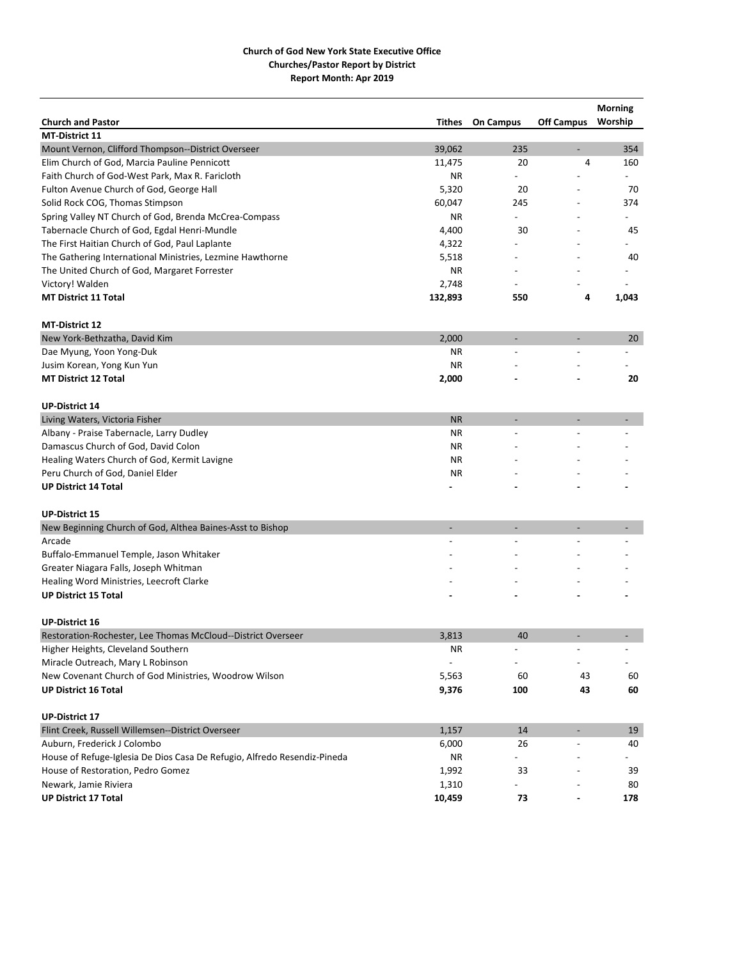|                                                                                    |                          |                  |                          | <b>Morning</b>           |
|------------------------------------------------------------------------------------|--------------------------|------------------|--------------------------|--------------------------|
| <b>Church and Pastor</b>                                                           | Tithes                   | <b>On Campus</b> | <b>Off Campus</b>        | Worship                  |
| <b>MT-District 11</b>                                                              |                          |                  |                          |                          |
| Mount Vernon, Clifford Thompson--District Overseer                                 | 39,062                   | 235              | $\overline{\phantom{0}}$ | 354                      |
| Elim Church of God, Marcia Pauline Pennicott                                       | 11,475                   | 20               | 4                        | 160                      |
| Faith Church of God-West Park, Max R. Faricloth                                    | <b>NR</b>                | $\overline{a}$   |                          | $\overline{\phantom{0}}$ |
| Fulton Avenue Church of God, George Hall                                           | 5,320                    | 20               |                          | 70                       |
| Solid Rock COG, Thomas Stimpson                                                    | 60,047                   | 245              |                          | 374                      |
| Spring Valley NT Church of God, Brenda McCrea-Compass                              | ΝR                       |                  |                          |                          |
| Tabernacle Church of God, Egdal Henri-Mundle                                       | 4,400                    | 30               |                          | 45                       |
| The First Haitian Church of God, Paul Laplante                                     | 4,322                    |                  |                          |                          |
| The Gathering International Ministries, Lezmine Hawthorne                          | 5,518                    |                  |                          | 40                       |
| The United Church of God, Margaret Forrester                                       | <b>NR</b>                |                  |                          |                          |
| Victory! Walden                                                                    | 2,748                    |                  |                          |                          |
| <b>MT District 11 Total</b>                                                        | 132,893                  | 550              | 4                        | 1,043                    |
| <b>MT-District 12</b>                                                              |                          |                  |                          |                          |
| New York-Bethzatha, David Kim                                                      | 2,000                    |                  |                          | 20                       |
| Dae Myung, Yoon Yong-Duk                                                           | ΝR                       |                  |                          |                          |
| Jusim Korean, Yong Kun Yun                                                         | <b>NR</b>                |                  |                          |                          |
| <b>MT District 12 Total</b>                                                        | 2,000                    |                  |                          | 20                       |
| <b>UP-District 14</b>                                                              |                          |                  |                          |                          |
| Living Waters, Victoria Fisher                                                     | <b>NR</b>                |                  |                          |                          |
| Albany - Praise Tabernacle, Larry Dudley                                           | ΝR                       |                  |                          |                          |
| Damascus Church of God, David Colon                                                | <b>NR</b>                |                  |                          |                          |
| Healing Waters Church of God, Kermit Lavigne                                       | <b>NR</b>                |                  |                          |                          |
| Peru Church of God, Daniel Elder                                                   | ΝR                       |                  |                          |                          |
| <b>UP District 14 Total</b>                                                        |                          |                  |                          |                          |
|                                                                                    |                          |                  |                          |                          |
| <b>UP-District 15</b><br>New Beginning Church of God, Althea Baines-Asst to Bishop |                          |                  |                          |                          |
| Arcade                                                                             |                          |                  |                          |                          |
|                                                                                    |                          |                  |                          |                          |
| Buffalo-Emmanuel Temple, Jason Whitaker<br>Greater Niagara Falls, Joseph Whitman   |                          |                  |                          |                          |
|                                                                                    |                          |                  |                          |                          |
| Healing Word Ministries, Leecroft Clarke                                           |                          |                  |                          |                          |
| <b>UP District 15 Total</b>                                                        |                          |                  |                          |                          |
| <b>UP-District 16</b>                                                              |                          |                  |                          |                          |
| Restoration-Rochester, Lee Thomas McCloud--District Overseer                       | 3,813                    | 40               |                          |                          |
| Higher Heights, Cleveland Southern                                                 | ΝR                       |                  |                          |                          |
| Miracle Outreach, Mary L Robinson                                                  | $\overline{\phantom{a}}$ |                  |                          | $\overline{\phantom{a}}$ |
| New Covenant Church of God Ministries, Woodrow Wilson                              | 5,563                    | 60               | 43                       | 60                       |
| <b>UP District 16 Total</b>                                                        | 9,376                    | 100              | 43                       | 60                       |
| <b>UP-District 17</b>                                                              |                          |                  |                          |                          |
| Flint Creek, Russell Willemsen--District Overseer                                  | 1,157                    | 14               |                          | 19                       |
| Auburn, Frederick J Colombo                                                        | 6,000                    | 26               |                          | 40                       |
| House of Refuge-Iglesia De Dios Casa De Refugio, Alfredo Resendiz-Pineda           | NR.                      |                  |                          |                          |
| House of Restoration, Pedro Gomez                                                  | 1,992                    | 33               |                          | 39                       |
| Newark, Jamie Riviera                                                              | 1,310                    |                  |                          | 80                       |
| <b>UP District 17 Total</b>                                                        | 10,459                   | 73               |                          | 178                      |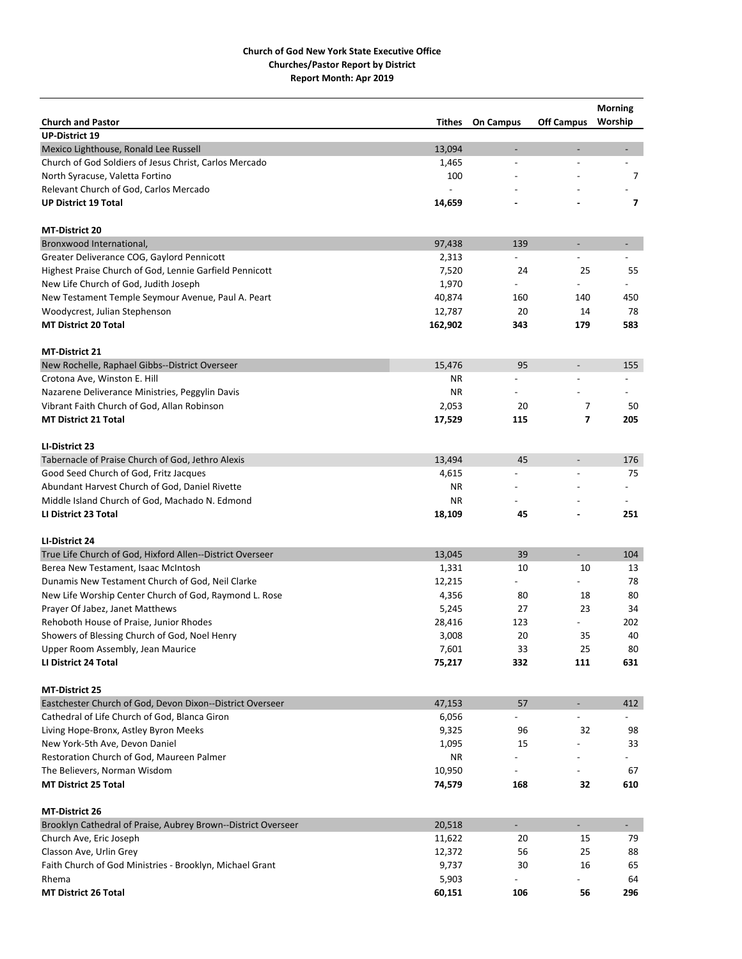|                                                                                 |                 |                          |                                            | <b>Morning</b>           |
|---------------------------------------------------------------------------------|-----------------|--------------------------|--------------------------------------------|--------------------------|
| <b>Church and Pastor</b>                                                        | Tithes          | <b>On Campus</b>         | <b>Off Campus</b>                          | Worship                  |
| <b>UP-District 19</b>                                                           |                 |                          |                                            |                          |
| Mexico Lighthouse, Ronald Lee Russell                                           | 13,094          | ÷,                       | $\qquad \qquad \blacksquare$               | $\overline{\phantom{a}}$ |
| Church of God Soldiers of Jesus Christ, Carlos Mercado                          | 1,465           | $\overline{a}$           |                                            |                          |
| North Syracuse, Valetta Fortino                                                 | 100             |                          |                                            | 7                        |
| Relevant Church of God, Carlos Mercado                                          |                 |                          |                                            |                          |
| <b>UP District 19 Total</b>                                                     | 14,659          |                          |                                            | 7                        |
| <b>MT-District 20</b>                                                           |                 |                          |                                            |                          |
| Bronxwood International,                                                        | 97,438          | 139                      | $\overline{\phantom{a}}$                   |                          |
| Greater Deliverance COG, Gaylord Pennicott                                      | 2,313           |                          |                                            |                          |
| Highest Praise Church of God, Lennie Garfield Pennicott                         | 7,520           | 24                       | 25                                         | 55                       |
| New Life Church of God, Judith Joseph                                           | 1,970           |                          |                                            |                          |
| New Testament Temple Seymour Avenue, Paul A. Peart                              | 40,874          | 160                      | 140                                        | 450                      |
| Woodycrest, Julian Stephenson                                                   | 12,787          | 20                       | 14                                         | 78                       |
| <b>MT District 20 Total</b>                                                     | 162,902         | 343                      | 179                                        | 583                      |
|                                                                                 |                 |                          |                                            |                          |
| <b>MT-District 21</b>                                                           | 15,476          | 95                       |                                            |                          |
| New Rochelle, Raphael Gibbs--District Overseer                                  |                 |                          | $\overline{\phantom{a}}$<br>$\overline{a}$ | 155<br>$\overline{a}$    |
| Crotona Ave, Winston E. Hill<br>Nazarene Deliverance Ministries, Peggylin Davis | ΝR<br><b>NR</b> | $\overline{a}$           |                                            |                          |
|                                                                                 |                 | 20                       |                                            | 50                       |
| Vibrant Faith Church of God, Allan Robinson                                     | 2,053           |                          | 7                                          |                          |
| <b>MT District 21 Total</b>                                                     | 17,529          | 115                      | 7                                          | 205                      |
| LI-District 23                                                                  |                 |                          |                                            |                          |
| Tabernacle of Praise Church of God, Jethro Alexis                               | 13,494          | 45                       | $\overline{a}$                             | 176                      |
| Good Seed Church of God, Fritz Jacques                                          | 4,615           | $\overline{a}$           | $\overline{a}$                             | 75                       |
| Abundant Harvest Church of God, Daniel Rivette                                  | <b>NR</b>       |                          |                                            |                          |
| Middle Island Church of God, Machado N. Edmond                                  | ΝR              |                          |                                            |                          |
| LI District 23 Total                                                            | 18,109          | 45                       |                                            | 251                      |
| LI-District 24                                                                  |                 |                          |                                            |                          |
| True Life Church of God, Hixford Allen--District Overseer                       | 13,045          | 39                       | $\overline{\phantom{0}}$                   | 104                      |
| Berea New Testament, Isaac McIntosh                                             | 1,331           | 10                       | 10                                         | 13                       |
| Dunamis New Testament Church of God, Neil Clarke                                | 12,215          | $\overline{\phantom{0}}$ | $\overline{\phantom{0}}$                   | 78                       |
| New Life Worship Center Church of God, Raymond L. Rose                          | 4,356           | 80                       | 18                                         | 80                       |
| Prayer Of Jabez, Janet Matthews                                                 | 5,245           | 27                       | 23                                         | 34                       |
| Rehoboth House of Praise, Junior Rhodes                                         | 28,416          | 123                      |                                            | 202                      |
| Showers of Blessing Church of God, Noel Henry                                   | 3,008           | 20                       | 35                                         | 40                       |
| Upper Room Assembly, Jean Maurice                                               | 7,601           | 33                       | 25                                         | 80                       |
| LI District 24 Total                                                            | 75,217          | 332                      | 111                                        | 631                      |
|                                                                                 |                 |                          |                                            |                          |
| <b>MT-District 25</b>                                                           |                 |                          |                                            |                          |
| Eastchester Church of God, Devon Dixon--District Overseer                       | 47,153          | 57                       | $\overline{\phantom{a}}$                   | 412                      |
| Cathedral of Life Church of God, Blanca Giron                                   | 6,056           |                          |                                            |                          |
| Living Hope-Bronx, Astley Byron Meeks                                           | 9,325           | 96                       | 32                                         | 98                       |
| New York-5th Ave, Devon Daniel                                                  | 1,095           | 15                       |                                            | 33                       |
| Restoration Church of God, Maureen Palmer                                       | ΝR              |                          |                                            |                          |
| The Believers, Norman Wisdom                                                    | 10,950          |                          |                                            | 67                       |
| <b>MT District 25 Total</b>                                                     | 74,579          | 168                      | 32                                         | 610                      |
| <b>MT-District 26</b>                                                           |                 |                          |                                            |                          |
| Brooklyn Cathedral of Praise, Aubrey Brown--District Overseer                   | 20,518          | $\overline{\phantom{a}}$ | $\blacksquare$                             | $\blacksquare$           |
| Church Ave, Eric Joseph                                                         | 11,622          | 20                       | 15                                         | 79                       |
| Classon Ave, Urlin Grey                                                         | 12,372          | 56                       | 25                                         | 88                       |
| Faith Church of God Ministries - Brooklyn, Michael Grant                        | 9,737           | 30                       | 16                                         | 65                       |
| Rhema                                                                           | 5,903           |                          |                                            | 64                       |
| <b>MT District 26 Total</b>                                                     | 60,151          | 106                      | 56                                         | 296                      |